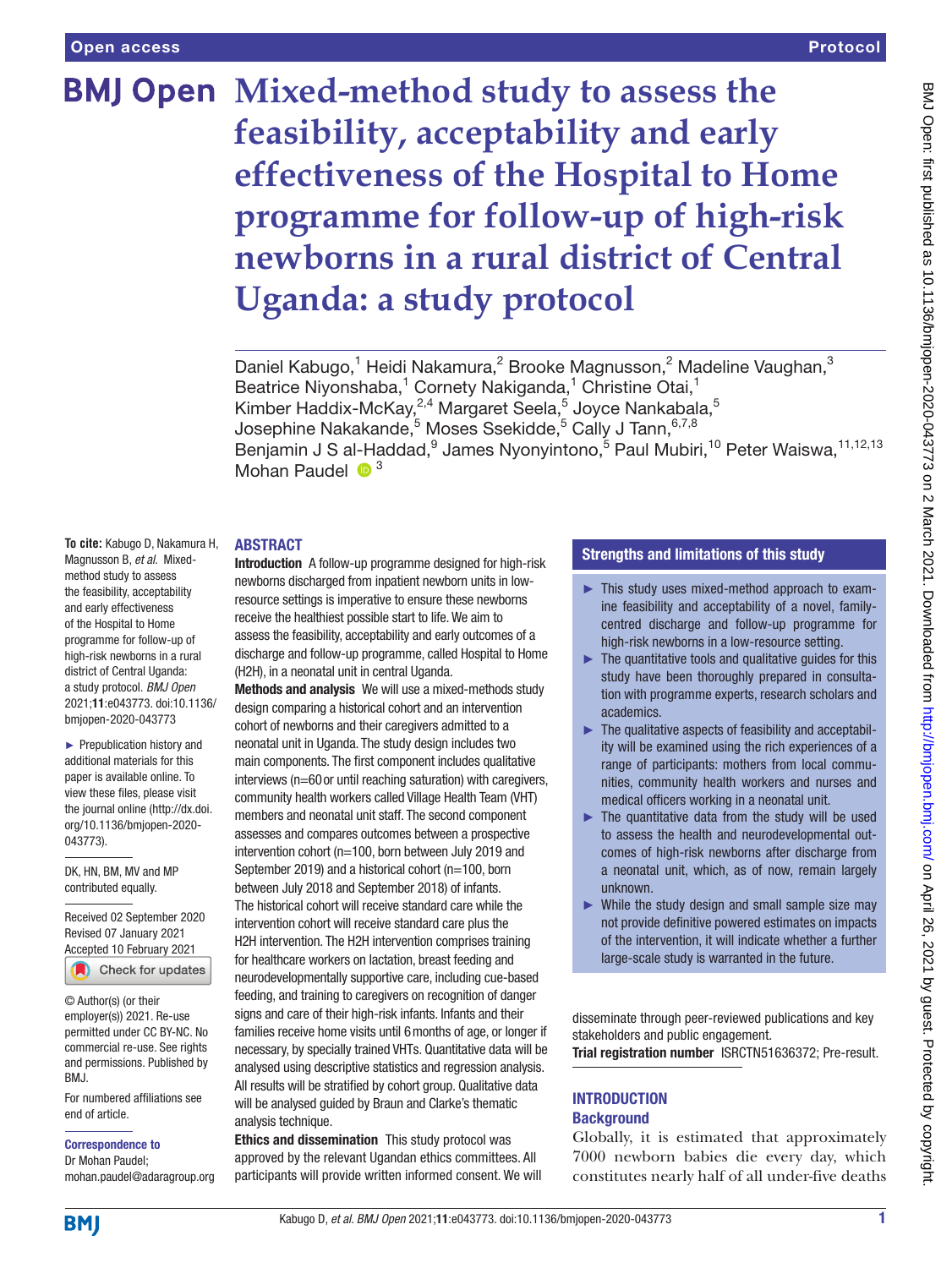# **BMJ Open Mixed-method study to assess the feasibility, acceptability and early effectiveness of the Hospital to Home programme for follow-up of high-risk newborns in a rural district of Central Uganda: a study protocol**

Daniel Kabugo,<sup>1</sup> Heidi Nakamura,<sup>2</sup> Brooke Magnusson,<sup>2</sup> Madeline Vaughan,<sup>3</sup> Beatrice Niyonshaba,<sup>1</sup> Cornety Nakiganda,<sup>1</sup> Christine Otai,<sup>1</sup> Kimber Haddix-McKay,<sup>2,4</sup> Margaret Seela,<sup>5</sup> Joyce Nankabala,<sup>5</sup> Josephine Nakakande, $^5$  Moses Ssekidde, $^5$  Cally J Tann, $^{6,7,8}$ Benjamin J S al-Haddad, <sup>9</sup> James Nyonyintono, <sup>5</sup> Paul Mubiri, <sup>10</sup> Peter Waiswa, <sup>11,12,13</sup> Mohan Paudel  $\bullet$ <sup>3</sup>

#### ABSTRACT

**To cite:** Kabugo D, Nakamura H, Magnusson B, *et al*. Mixedmethod study to assess the feasibility, acceptability and early effectiveness of the Hospital to Home programme for follow-up of high-risk newborns in a rural district of Central Uganda: a study protocol. *BMJ Open* 2021;11:e043773. doi:10.1136/ bmjopen-2020-043773

► Prepublication history and additional materials for this paper is available online. To view these files, please visit the journal online (http://dx.doi. org/10.1136/bmjopen-2020- 043773).

DK, HN, BM, MV and MP contributed equally.

Received 02 September 2020 Revised 07 January 2021 [Accepted 10 February 2021](http://crossmark.crossref.org/dialog/?doi=10.1136/bmjopen-2020-043773&domain=pdf&date_stamp=2021-03-02)

Check for updates

© Author(s) (or their employer(s)) 2021. Re-use permitted under CC BY-NC. No commercial re-use. See rights and permissions. Published by BMJ.

For numbered affiliations see end of article.

Correspondence to

Dr Mohan Paudel; mohan.paudel@adaragroup.org Introduction A follow-up programme designed for high-risk newborns discharged from inpatient newborn units in lowresource settings is imperative to ensure these newborns receive the healthiest possible start to life. We aim to assess the feasibility, acceptability and early outcomes of a discharge and follow-up programme, called Hospital to Home (H2H), in a neonatal unit in central Uganda.

Methods and analysis We will use a mixed-methods study design comparing a historical cohort and an intervention cohort of newborns and their caregivers admitted to a neonatal unit in Uganda. The study design includes two main components. The first component includes qualitative interviews (n=60or until reaching saturation) with caregivers, community health workers called Village Health Team (VHT) members and neonatal unit staff. The second component assesses and compares outcomes between a prospective intervention cohort (n=100, born between July 2019 and September 2019) and a historical cohort (n=100, born between July 2018 and September 2018) of infants. The historical cohort will receive standard care while the intervention cohort will receive standard care plus the H2H intervention. The H2H intervention comprises training for healthcare workers on lactation, breast feeding and neurodevelopmentally supportive care, including cue-based feeding, and training to caregivers on recognition of danger signs and care of their high-risk infants. Infants and their families receive home visits until 6months of age, or longer if necessary, by specially trained VHTs. Quantitative data will be analysed using descriptive statistics and regression analysis. All results will be stratified by cohort group. Qualitative data will be analysed guided by Braun and Clarke's thematic analysis technique.

Ethics and dissemination This study protocol was approved by the relevant Ugandan ethics committees. All participants will provide written informed consent. We will

## Strengths and limitations of this study

- ► This study uses mixed-method approach to examine feasibility and acceptability of a novel, familycentred discharge and follow-up programme for high-risk newborns in a low-resource setting.
- $\blacktriangleright$  The quantitative tools and qualitative quides for this study have been thoroughly prepared in consultation with programme experts, research scholars and academics.
- ► The qualitative aspects of feasibility and acceptability will be examined using the rich experiences of a range of participants: mothers from local communities, community health workers and nurses and medical officers working in a neonatal unit.
- ► The quantitative data from the study will be used to assess the health and neurodevelopmental outcomes of high-risk newborns after discharge from a neonatal unit, which, as of now, remain largely unknown.
- $\triangleright$  While the study design and small sample size may not provide definitive powered estimates on impacts of the intervention, it will indicate whether a further large-scale study is warranted in the future.

disseminate through peer-reviewed publications and key stakeholders and public engagement.

Trial registration number [ISRCTN51636372; Pre-result.](ISRCTN51636372)

## **INTRODUCTION Background**

Globally, it is estimated that approximately 7000 newborn babies die every day, which constitutes nearly half of all under-five deaths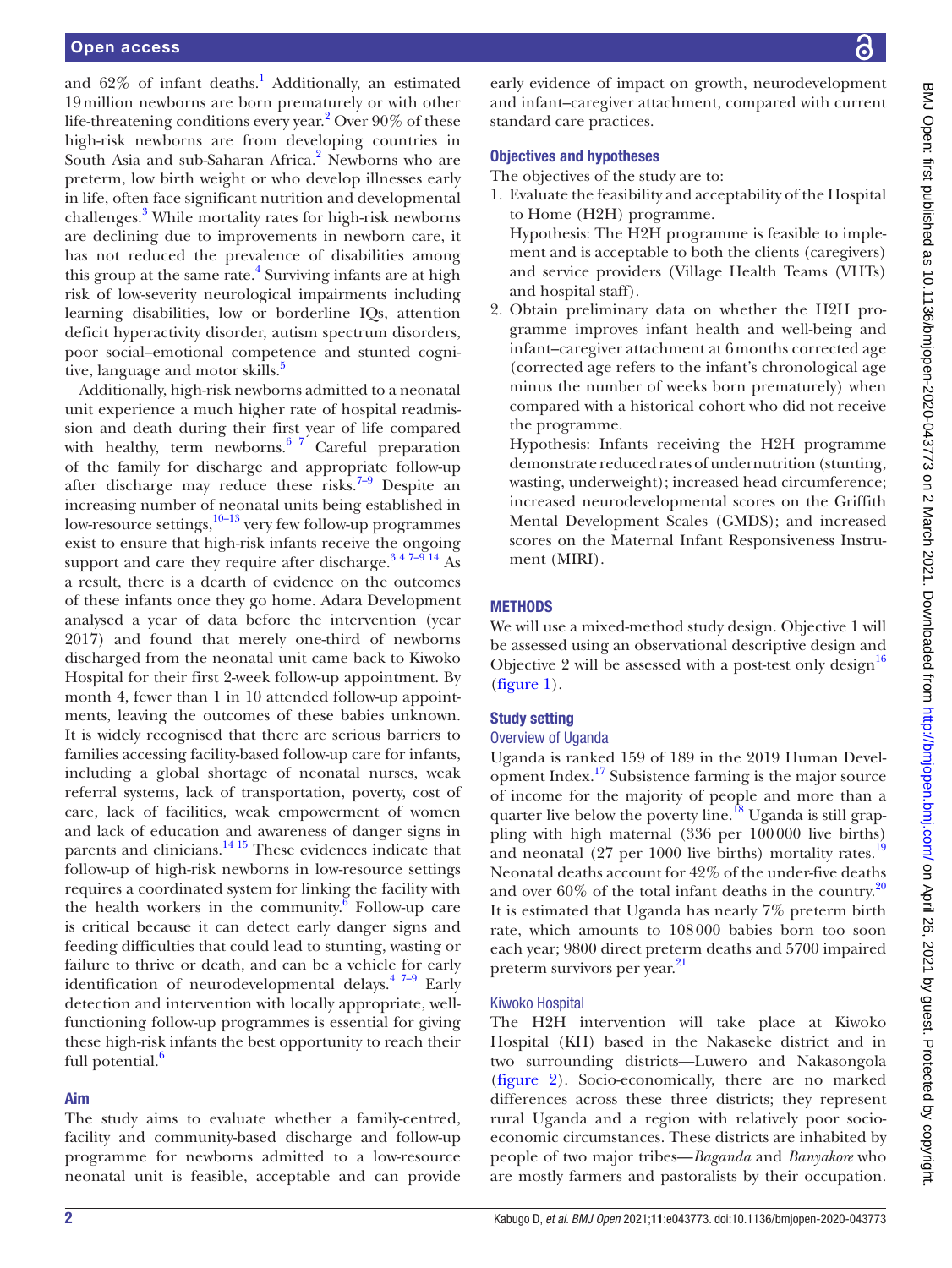and  $62\%$  of infant deaths.<sup>1</sup> Additionally, an estimated 19million newborns are born prematurely or with other life-threatening conditions every year.<sup>2</sup> Over 90% of these high-risk newborns are from developing countries in South Asia and sub-Saharan Africa.<sup>[2](#page-7-1)</sup> Newborns who are preterm, low birth weight or who develop illnesses early in life, often face significant nutrition and developmental challenges.<sup>[3](#page-7-2)</sup> While mortality rates for high-risk newborns are declining due to improvements in newborn care, it has not reduced the prevalence of disabilities among this group at the same rate.<sup>[4](#page-7-3)</sup> Surviving infants are at high risk of low-severity neurological impairments including learning disabilities, low or borderline IQs, attention deficit hyperactivity disorder, autism spectrum disorders, poor social–emotional competence and stunted cognitive, language and motor skills.<sup>5</sup>

Additionally, high-risk newborns admitted to a neonatal unit experience a much higher rate of hospital readmission and death during their first year of life compared with healthy, term newborns.<sup>6</sup>  $^7$  Careful preparation of the family for discharge and appropriate follow-up after discharge may reduce these risks.<sup>7-9</sup> Despite an increasing number of neonatal units being established in low-resource settings, $\frac{10-13}{10}$  very few follow-up programmes exist to ensure that high-risk infants receive the ongoing support and care they require after discharge.<sup>347-9 14</sup> As a result, there is a dearth of evidence on the outcomes of these infants once they go home. Adara Development analysed a year of data before the intervention (year 2017) and found that merely one-third of newborns discharged from the neonatal unit came back to Kiwoko Hospital for their first 2-week follow-up appointment. By month 4, fewer than 1 in 10 attended follow-up appointments, leaving the outcomes of these babies unknown. It is widely recognised that there are serious barriers to families accessing facility-based follow-up care for infants, including a global shortage of neonatal nurses, weak referral systems, lack of transportation, poverty, cost of care, lack of facilities, weak empowerment of women and lack of education and awareness of danger signs in parents and clinicians.<sup>14 15</sup> These evidences indicate that follow-up of high-risk newborns in low-resource settings requires a coordinated system for linking the facility with the health workers in the community.<sup> $\overline{6}$  $\overline{6}$  $\overline{6}$ </sup> Follow-up care is critical because it can detect early danger signs and feeding difficulties that could lead to stunting, wasting or failure to thrive or death, and can be a vehicle for early identification of neurodevelopmental delays.<sup>47-9</sup> Early detection and intervention with locally appropriate, wellfunctioning follow-up programmes is essential for giving these high-risk infants the best opportunity to reach their full potential.<sup>6</sup>

## Aim

The study aims to evaluate whether a family-centred, facility and community-based discharge and follow-up programme for newborns admitted to a low-resource neonatal unit is feasible, acceptable and can provide

early evidence of impact on growth, neurodevelopment and infant–caregiver attachment, compared with current standard care practices.

#### Objectives and hypotheses

The objectives of the study are to:

1. Evaluate the feasibility and acceptability of the Hospital to Home (H2H) programme. Hypothesis: The H2H programme is feasible to imple-

ment and is acceptable to both the clients (caregivers) and service providers (Village Health Teams (VHTs) and hospital staff).

2. Obtain preliminary data on whether the H2H programme improves infant health and well-being and infant–caregiver attachment at 6months corrected age (corrected age refers to the infant's chronological age minus the number of weeks born prematurely) when compared with a historical cohort who did not receive the programme.

Hypothesis: Infants receiving the H2H programme demonstrate reduced rates of undernutrition (stunting, wasting, underweight); increased head circumference; increased neurodevelopmental scores on the Griffith Mental Development Scales (GMDS); and increased scores on the Maternal Infant Responsiveness Instrument (MIRI).

#### **METHODS**

We will use a mixed-method study design. Objective 1 will be assessed using an observational descriptive design and Objective 2 will be assessed with a post-test only design<sup>[16](#page-7-9)</sup> [\(figure](#page-2-0) 1).

## Study setting

#### Overview of Uganda

Uganda is ranked 159 of 189 in the 2019 Human Development Index.<sup>17</sup> Subsistence farming is the major source of income for the majority of people and more than a quarter live below the poverty line.<sup>18</sup> Uganda is still grappling with high maternal (336 per 100000 live births) and neonatal (27 per 1000 live births) mortality rates.<sup>[19](#page-7-12)</sup> Neonatal deaths account for 42% of the under-five deaths and over  $60\%$  of the total infant deaths in the country.<sup>[20](#page-7-13)</sup> It is estimated that Uganda has nearly 7% preterm birth rate, which amounts to 108000 babies born too soon each year; 9800 direct preterm deaths and 5700 impaired preterm survivors per year.<sup>[21](#page-7-14)</sup>

## Kiwoko Hospital

The H2H intervention will take place at Kiwoko Hospital (KH) based in the Nakaseke district and in two surrounding districts—Luwero and Nakasongola [\(figure](#page-3-0) 2). Socio-economically, there are no marked differences across these three districts; they represent rural Uganda and a region with relatively poor socioeconomic circumstances. These districts are inhabited by people of two major tribes—*Baganda* and *Banyakore* who are mostly farmers and pastoralists by their occupation.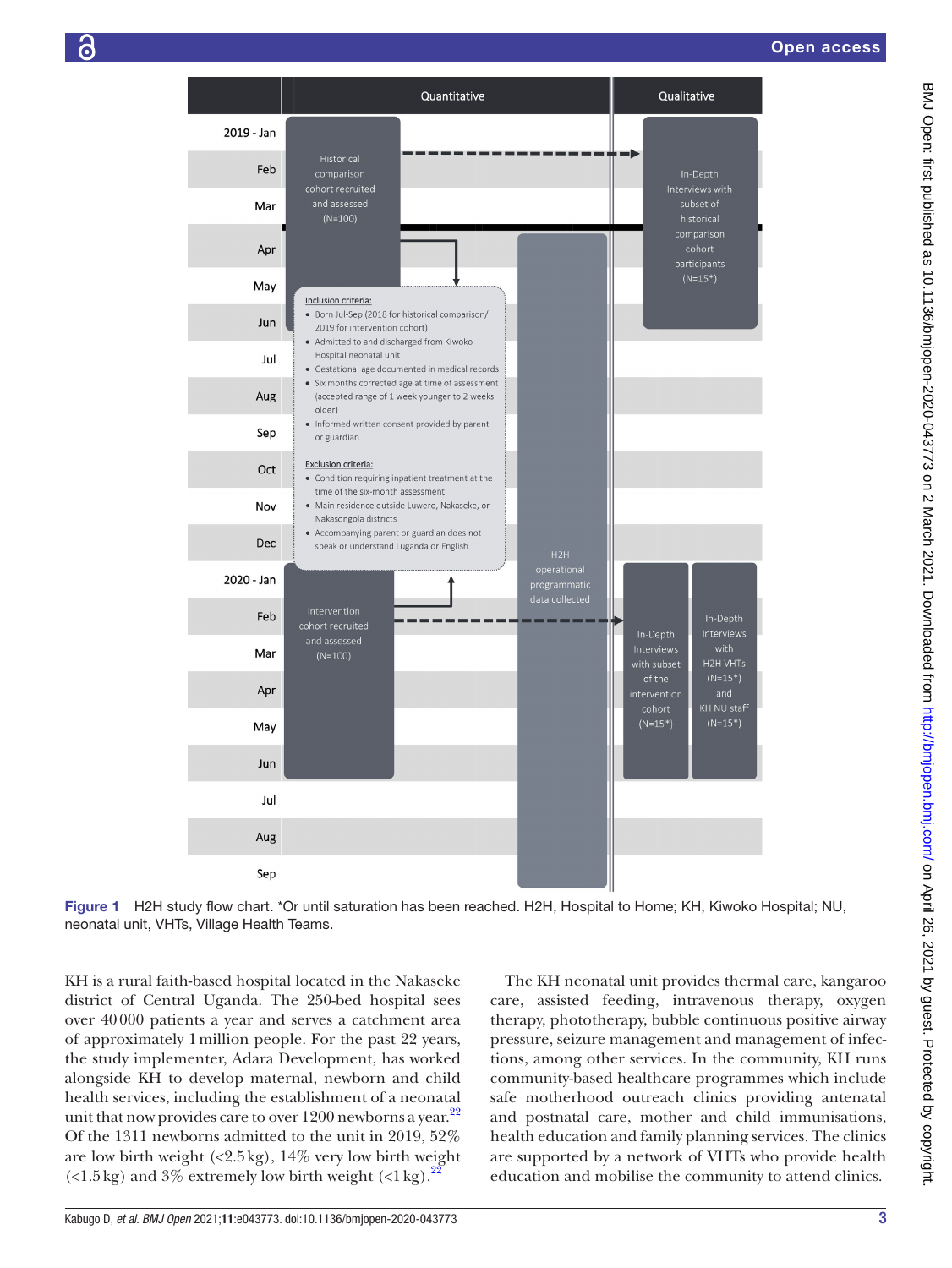

Figure 1 H2H study flow chart. \*Or until saturation has been reached. H2H, Hospital to Home; KH, Kiwoko Hospital; NU, neonatal unit, VHTs, Village Health Teams.

KH is a rural faith-based hospital located in the Nakaseke district of Central Uganda. The 250-bed hospital sees over 40000 patients a year and serves a catchment area of approximately 1million people. For the past 22 years, the study implementer, Adara Development, has worked alongside KH to develop maternal, newborn and child health services, including the establishment of a neonatal unit that now provides care to over  $1200$  newborns a year.<sup>[22](#page-7-15)</sup> Of the 1311 newborns admitted to the unit in 2019, 52% are low birth weight  $(\langle 2.5 \text{ kg}), 14\%$  very low birth weight  $\left($  <1.5 kg) and 3% extremely low birth weight  $\left($  <1 kg $\right)$ .

<span id="page-2-0"></span>The KH neonatal unit provides thermal care, kangaroo care, assisted feeding, intravenous therapy, oxygen therapy, phototherapy, bubble continuous positive airway pressure, seizure management and management of infections, among other services. In the community, KH runs community-based healthcare programmes which include safe motherhood outreach clinics providing antenatal and postnatal care, mother and child immunisations, health education and family planning services. The clinics are supported by a network of VHTs who provide health education and mobilise the community to attend clinics.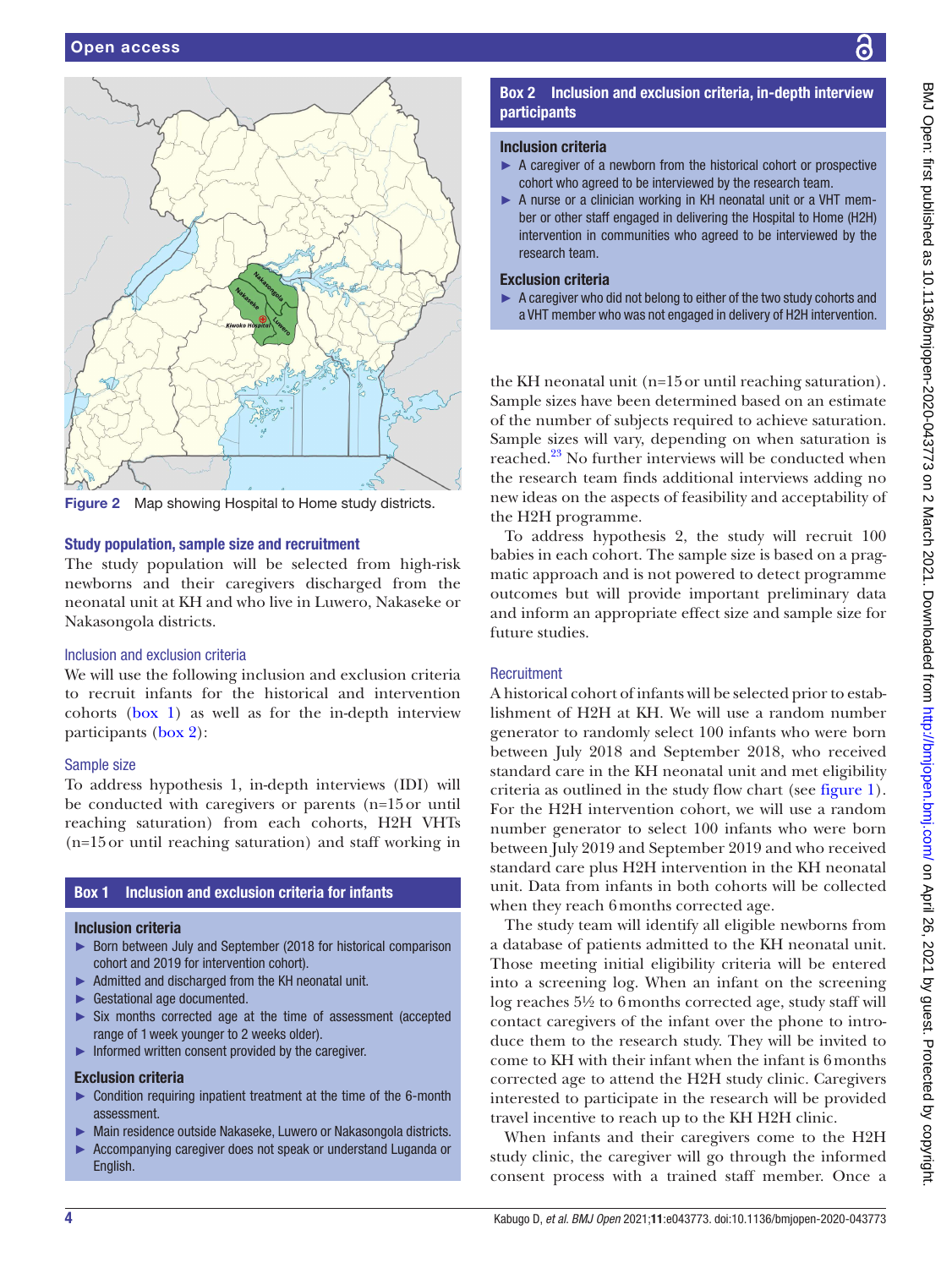

<span id="page-3-0"></span>Figure 2 Map showing Hospital to Home study districts.

#### Study population, sample size and recruitment

The study population will be selected from high-risk newborns and their caregivers discharged from the neonatal unit at KH and who live in Luwero, Nakaseke or Nakasongola districts.

#### Inclusion and exclusion criteria

We will use the following inclusion and exclusion criteria to recruit infants for the historical and intervention cohorts ([box](#page-3-1) 1) as well as for the in-depth interview participants ([box](#page-3-2) 2):

#### Sample size

To address hypothesis 1, in-depth interviews (IDI) will be conducted with caregivers or parents (n=15or until reaching saturation) from each cohorts, H2H VHTs (n=15or until reaching saturation) and staff working in

# Box 1 Inclusion and exclusion criteria for infants

#### <span id="page-3-1"></span>Inclusion criteria

- ► Born between July and September (2018 for historical comparison cohort and 2019 for intervention cohort).
- ► Admitted and discharged from the KH neonatal unit.
- ► Gestational age documented.
- ► Six months corrected age at the time of assessment (accepted range of 1week younger to 2 weeks older).
- ► Informed written consent provided by the caregiver.

#### Exclusion criteria

- ► Condition requiring inpatient treatment at the time of the 6-month assessment.
- ► Main residence outside Nakaseke, Luwero or Nakasongola districts.
- ► Accompanying caregiver does not speak or understand Luganda or English.

## Box 2 Inclusion and exclusion criteria, in-depth interview participants

#### <span id="page-3-2"></span>Inclusion criteria

- $\triangleright$  A caregiver of a newborn from the historical cohort or prospective cohort who agreed to be interviewed by the research team.
- ► A nurse or a clinician working in KH neonatal unit or a VHT member or other staff engaged in delivering the Hospital to Home (H2H) intervention in communities who agreed to be interviewed by the research team.

## Exclusion criteria

► A caregiver who did not belong to either of the two study cohorts and a VHT member who was not engaged in delivery of H2H intervention.

the KH neonatal unit (n=15or until reaching saturation). Sample sizes have been determined based on an estimate of the number of subjects required to achieve saturation. Sample sizes will vary, depending on when saturation is reached.[23](#page-7-16) No further interviews will be conducted when the research team finds additional interviews adding no new ideas on the aspects of feasibility and acceptability of the H2H programme.

To address hypothesis 2, the study will recruit 100 babies in each cohort. The sample size is based on a pragmatic approach and is not powered to detect programme outcomes but will provide important preliminary data and inform an appropriate effect size and sample size for future studies.

#### **Recruitment**

A historical cohort of infants will be selected prior to establishment of H2H at KH. We will use a random number generator to randomly select 100 infants who were born between July 2018 and September 2018, who received standard care in the KH neonatal unit and met eligibility criteria as outlined in the study flow chart (see [figure](#page-2-0) 1). For the H2H intervention cohort, we will use a random number generator to select 100 infants who were born between July 2019 and September 2019 and who received standard care plus H2H intervention in the KH neonatal unit. Data from infants in both cohorts will be collected when they reach 6months corrected age.

The study team will identify all eligible newborns from a database of patients admitted to the KH neonatal unit. Those meeting initial eligibility criteria will be entered into a screening log. When an infant on the screening log reaches 5½ to 6months corrected age, study staff will contact caregivers of the infant over the phone to introduce them to the research study. They will be invited to come to KH with their infant when the infant is 6months corrected age to attend the H2H study clinic. Caregivers interested to participate in the research will be provided travel incentive to reach up to the KH H2H clinic.

When infants and their caregivers come to the H2H study clinic, the caregiver will go through the informed consent process with a trained staff member. Once a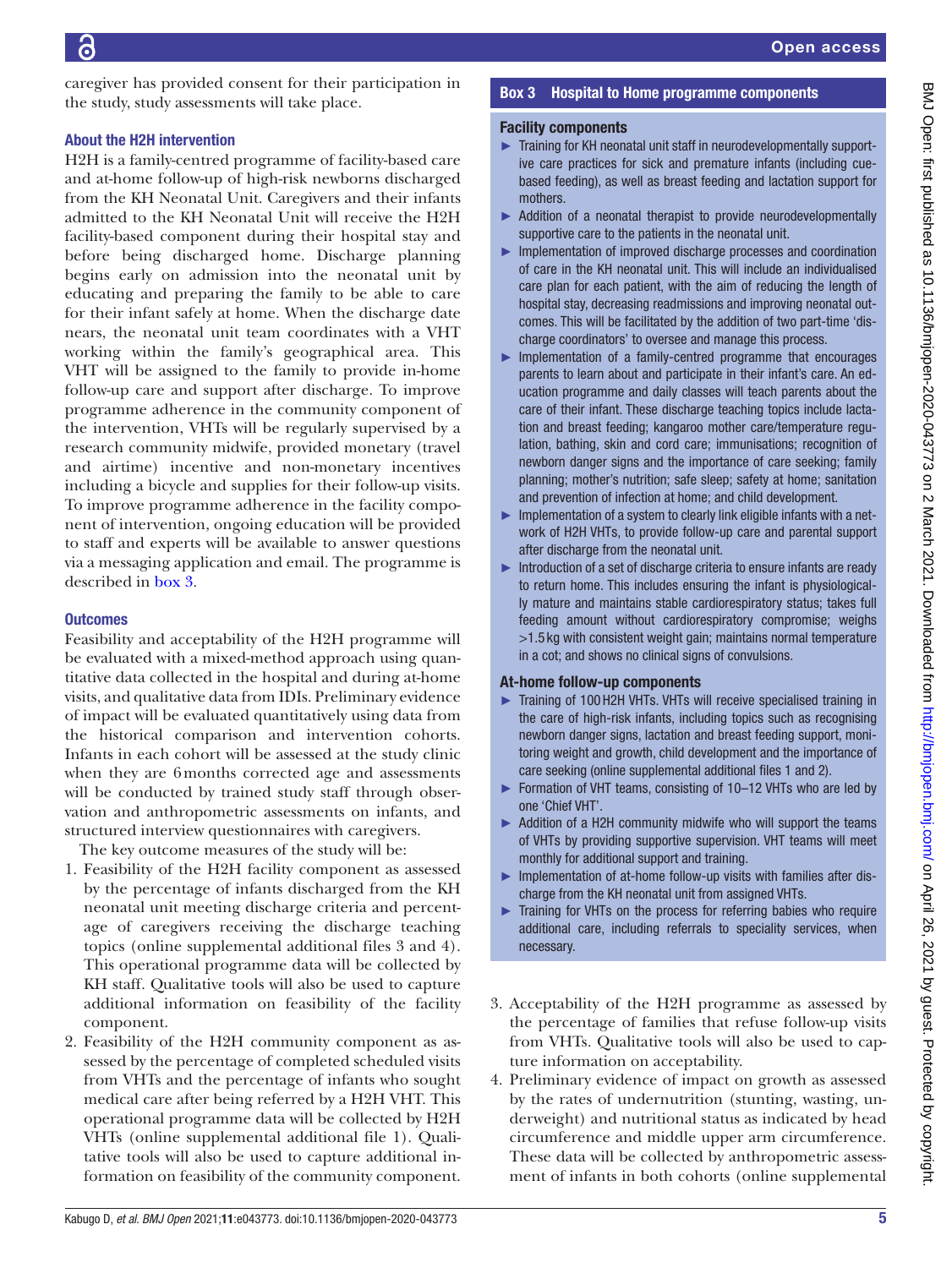caregiver has provided consent for their participation in the study, study assessments will take place.

## About the H2H intervention

H2H is a family-centred programme of facility-based care and at-home follow-up of high-risk newborns discharged from the KH Neonatal Unit. Caregivers and their infants admitted to the KH Neonatal Unit will receive the H2H facility-based component during their hospital stay and before being discharged home. Discharge planning begins early on admission into the neonatal unit by educating and preparing the family to be able to care for their infant safely at home. When the discharge date nears, the neonatal unit team coordinates with a VHT working within the family's geographical area. This VHT will be assigned to the family to provide in-home follow-up care and support after discharge. To improve programme adherence in the community component of the intervention, VHTs will be regularly supervised by a research community midwife, provided monetary (travel and airtime) incentive and non-monetary incentives including a bicycle and supplies for their follow-up visits. To improve programme adherence in the facility component of intervention, ongoing education will be provided to staff and experts will be available to answer questions via a messaging application and email. The programme is described in [box](#page-4-0) 3.

## **Outcomes**

Feasibility and acceptability of the H2H programme will be evaluated with a mixed-method approach using quantitative data collected in the hospital and during at-home visits, and qualitative data from IDIs. Preliminary evidence of impact will be evaluated quantitatively using data from the historical comparison and intervention cohorts. Infants in each cohort will be assessed at the study clinic when they are 6months corrected age and assessments will be conducted by trained study staff through observation and anthropometric assessments on infants, and structured interview questionnaires with caregivers.

The key outcome measures of the study will be:

- 1. Feasibility of the H2H facility component as assessed by the percentage of infants discharged from the KH neonatal unit meeting discharge criteria and percentage of caregivers receiving the discharge teaching topics ([online supplemental additional files 3 and 4](https://dx.doi.org/10.1136/bmjopen-2020-043773)). This operational programme data will be collected by KH staff. Qualitative tools will also be used to capture additional information on feasibility of the facility component.
- 2. Feasibility of the H2H community component as assessed by the percentage of completed scheduled visits from VHTs and the percentage of infants who sought medical care after being referred by a H2H VHT. This operational programme data will be collected by H2H VHTs ([online supplemental additional file 1\)](https://dx.doi.org/10.1136/bmjopen-2020-043773). Qualitative tools will also be used to capture additional information on feasibility of the community component.

## Box 3 Hospital to Home programme components

## <span id="page-4-0"></span>Facility components

- ► Training for KH neonatal unit staff in neurodevelopmentally supportive care practices for sick and premature infants (including cuebased feeding), as well as breast feeding and lactation support for mothers.
- ► Addition of a neonatal therapist to provide neurodevelopmentally supportive care to the patients in the neonatal unit.
- ► Implementation of improved discharge processes and coordination of care in the KH neonatal unit. This will include an individualised care plan for each patient, with the aim of reducing the length of hospital stay, decreasing readmissions and improving neonatal outcomes. This will be facilitated by the addition of two part-time 'discharge coordinators' to oversee and manage this process.
- ► Implementation of a family-centred programme that encourages parents to learn about and participate in their infant's care. An education programme and daily classes will teach parents about the care of their infant. These discharge teaching topics include lactation and breast feeding; kangaroo mother care/temperature regulation, bathing, skin and cord care; immunisations; recognition of newborn danger signs and the importance of care seeking; family planning; mother's nutrition; safe sleep; safety at home; sanitation and prevention of infection at home; and child development.
- ► Implementation of a system to clearly link eligible infants with a network of H2H VHTs, to provide follow-up care and parental support after discharge from the neonatal unit.
- ► Introduction of a set of discharge criteria to ensure infants are ready to return home. This includes ensuring the infant is physiologically mature and maintains stable cardiorespiratory status; takes full feeding amount without cardiorespiratory compromise; weighs >1.5 kg with consistent weight gain; maintains normal temperature in a cot; and shows no clinical signs of convulsions.

## At-home follow-up components

- ► Training of 100H2H VHTs. VHTs will receive specialised training in the care of high-risk infants, including topics such as recognising newborn danger signs, lactation and breast feeding support, monitoring weight and growth, child development and the importance of care seeking ([online supplemental additional files 1 and 2](https://dx.doi.org/10.1136/bmjopen-2020-043773)).
- ► Formation of VHT teams, consisting of 10–12 VHTs who are led by one 'Chief VHT'.
- ► Addition of a H2H community midwife who will support the teams of VHTs by providing supportive supervision. VHT teams will meet monthly for additional support and training.
- ► Implementation of at-home follow-up visits with families after discharge from the KH neonatal unit from assigned VHTs.
- ► Training for VHTs on the process for referring babies who require additional care, including referrals to speciality services, when necessary.
- 3. Acceptability of the H2H programme as assessed by the percentage of families that refuse follow-up visits from VHTs. Qualitative tools will also be used to capture information on acceptability.
- 4. Preliminary evidence of impact on growth as assessed by the rates of undernutrition (stunting, wasting, underweight) and nutritional status as indicated by head circumference and middle upper arm circumference. These data will be collected by anthropometric assessment of infants in both cohorts [\(online supplemental](https://dx.doi.org/10.1136/bmjopen-2020-043773)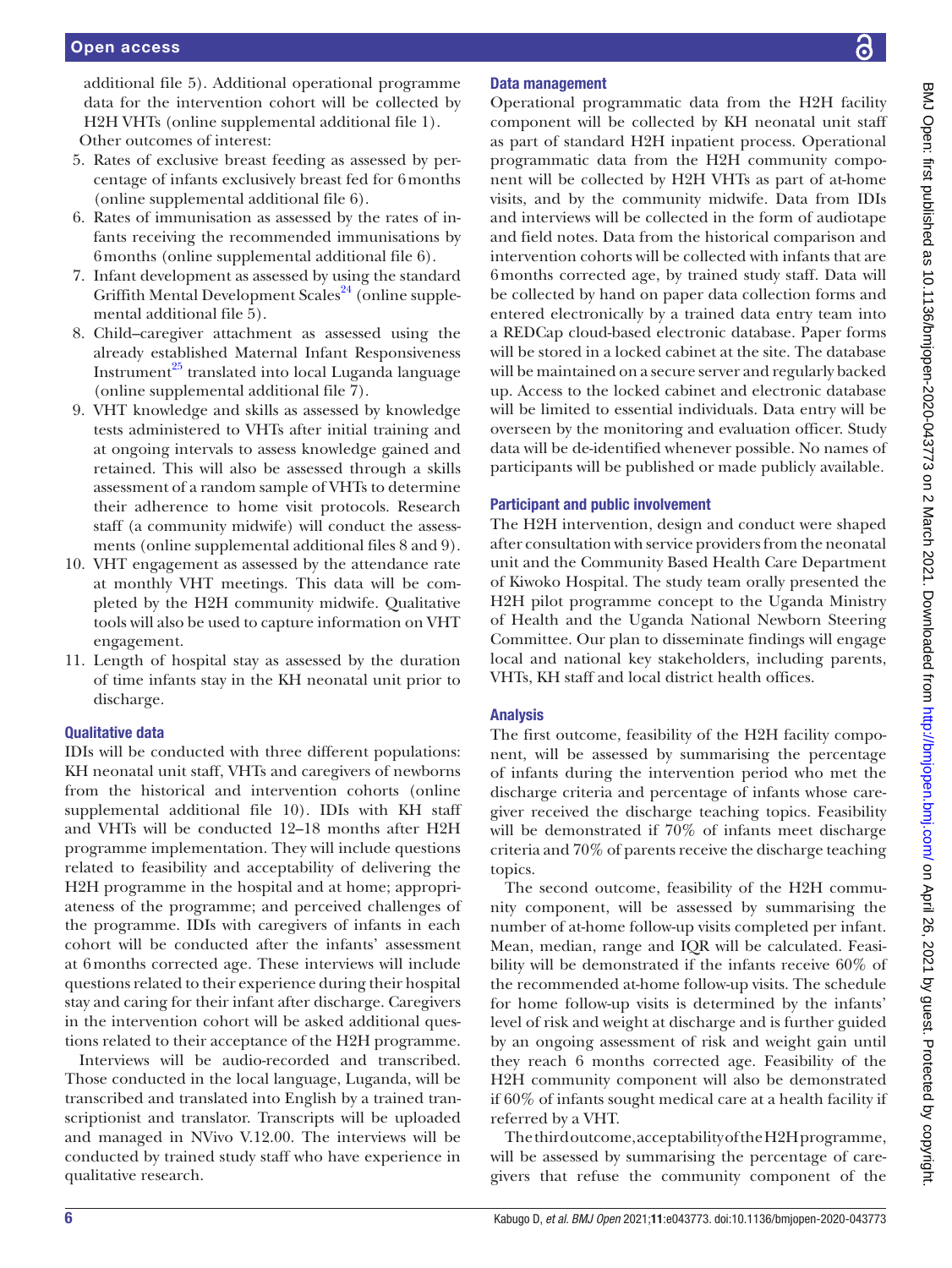[additional file 5\)](https://dx.doi.org/10.1136/bmjopen-2020-043773). Additional operational programme data for the intervention cohort will be collected by H2H VHTs ([online supplemental additional file 1\)](https://dx.doi.org/10.1136/bmjopen-2020-043773). Other outcomes of interest:

- 5. Rates of exclusive breast feeding as assessed by percentage of infants exclusively breast fed for 6months ([online supplemental additional file 6](https://dx.doi.org/10.1136/bmjopen-2020-043773)).
- 6. Rates of immunisation as assessed by the rates of infants receiving the recommended immunisations by 6months ([online supplemental additional file 6](https://dx.doi.org/10.1136/bmjopen-2020-043773)).
- 7. Infant development as assessed by using the standard Griffith Mental Development Scales<sup>24</sup> ([online supple](https://dx.doi.org/10.1136/bmjopen-2020-043773)[mental additional file 5](https://dx.doi.org/10.1136/bmjopen-2020-043773)).
- 8. Child–caregiver attachment as assessed using the already established Maternal Infant Responsiveness Instrument $^{25}$  translated into local Luganda language ([online supplemental additional file 7](https://dx.doi.org/10.1136/bmjopen-2020-043773)).
- 9. VHT knowledge and skills as assessed by knowledge tests administered to VHTs after initial training and at ongoing intervals to assess knowledge gained and retained. This will also be assessed through a skills assessment of a random sample of VHTs to determine their adherence to home visit protocols. Research staff (a community midwife) will conduct the assessments ([online supplemental additional files 8 and 9](https://dx.doi.org/10.1136/bmjopen-2020-043773)).
- 10. VHT engagement as assessed by the attendance rate at monthly VHT meetings. This data will be completed by the H2H community midwife. Qualitative tools will also be used to capture information on VHT engagement.
- 11. Length of hospital stay as assessed by the duration of time infants stay in the KH neonatal unit prior to discharge.

# Qualitative data

IDIs will be conducted with three different populations: KH neonatal unit staff, VHTs and caregivers of newborns from the historical and intervention cohorts [\(online](https://dx.doi.org/10.1136/bmjopen-2020-043773) [supplemental additional file 10](https://dx.doi.org/10.1136/bmjopen-2020-043773)). IDIs with KH staff and VHTs will be conducted 12–18 months after H2H programme implementation. They will include questions related to feasibility and acceptability of delivering the H2H programme in the hospital and at home; appropriateness of the programme; and perceived challenges of the programme. IDIs with caregivers of infants in each cohort will be conducted after the infants' assessment at 6months corrected age. These interviews will include questions related to their experience during their hospital stay and caring for their infant after discharge. Caregivers in the intervention cohort will be asked additional questions related to their acceptance of the H2H programme.

Interviews will be audio-recorded and transcribed. Those conducted in the local language, Luganda, will be transcribed and translated into English by a trained transcriptionist and translator. Transcripts will be uploaded and managed in NVivo V.12.00. The interviews will be conducted by trained study staff who have experience in qualitative research.

# Data management

Operational programmatic data from the H2H facility component will be collected by KH neonatal unit staff as part of standard H2H inpatient process. Operational programmatic data from the H2H community component will be collected by H2H VHTs as part of at-home visits, and by the community midwife. Data from IDIs and interviews will be collected in the form of audiotape and field notes. Data from the historical comparison and intervention cohorts will be collected with infants that are 6months corrected age, by trained study staff. Data will be collected by hand on paper data collection forms and entered electronically by a trained data entry team into a REDCap cloud-based electronic database. Paper forms will be stored in a locked cabinet at the site. The database will be maintained on a secure server and regularly backed up. Access to the locked cabinet and electronic database will be limited to essential individuals. Data entry will be overseen by the monitoring and evaluation officer. Study data will be de-identified whenever possible. No names of participants will be published or made publicly available.

## Participant and public involvement

The H2H intervention, design and conduct were shaped after consultation with service providers from the neonatal unit and the Community Based Health Care Department of Kiwoko Hospital. The study team orally presented the H2H pilot programme concept to the Uganda Ministry of Health and the Uganda National Newborn Steering Committee. Our plan to disseminate findings will engage local and national key stakeholders, including parents, VHTs, KH staff and local district health offices.

# Analysis

The first outcome, feasibility of the H2H facility component, will be assessed by summarising the percentage of infants during the intervention period who met the discharge criteria and percentage of infants whose caregiver received the discharge teaching topics. Feasibility will be demonstrated if 70% of infants meet discharge criteria and 70% of parents receive the discharge teaching topics.

The second outcome, feasibility of the H2H community component, will be assessed by summarising the number of at-home follow-up visits completed per infant. Mean, median, range and IQR will be calculated. Feasibility will be demonstrated if the infants receive 60% of the recommended at-home follow-up visits. The schedule for home follow-up visits is determined by the infants' level of risk and weight at discharge and is further guided by an ongoing assessment of risk and weight gain until they reach 6 months corrected age. Feasibility of the H2H community component will also be demonstrated if 60% of infants sought medical care at a health facility if referred by a VHT.

The third outcome, acceptability of the H2H programme, will be assessed by summarising the percentage of caregivers that refuse the community component of the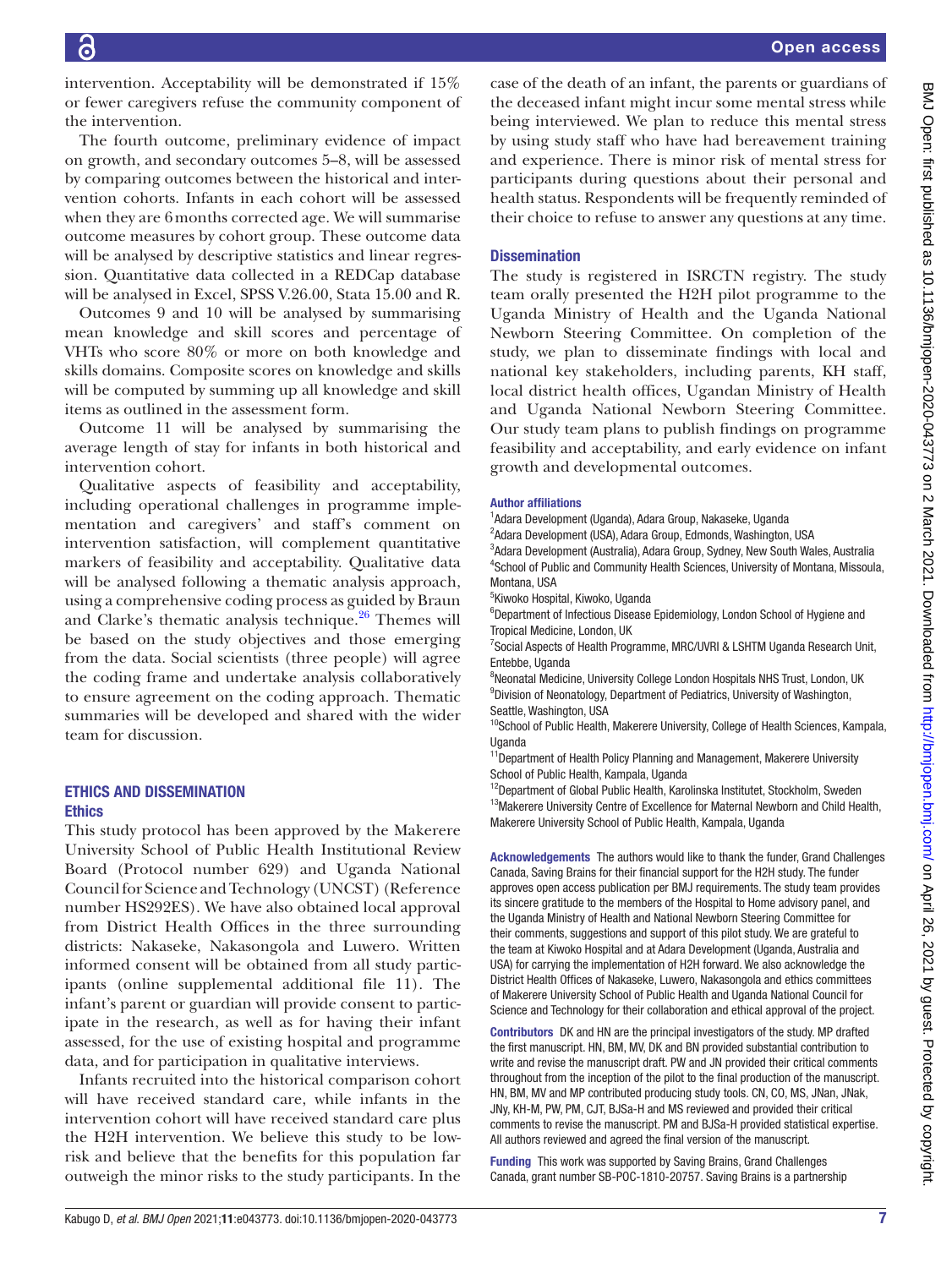intervention. Acceptability will be demonstrated if 15% or fewer caregivers refuse the community component of the intervention.

The fourth outcome, preliminary evidence of impact on growth, and secondary outcomes 5–8, will be assessed by comparing outcomes between the historical and intervention cohorts. Infants in each cohort will be assessed when they are 6months corrected age. We will summarise outcome measures by cohort group. These outcome data will be analysed by descriptive statistics and linear regression. Quantitative data collected in a REDCap database will be analysed in Excel, SPSS V.26.00, Stata 15.00 and R.

Outcomes 9 and 10 will be analysed by summarising mean knowledge and skill scores and percentage of VHTs who score 80% or more on both knowledge and skills domains. Composite scores on knowledge and skills will be computed by summing up all knowledge and skill items as outlined in the assessment form.

Outcome 11 will be analysed by summarising the average length of stay for infants in both historical and intervention cohort.

Qualitative aspects of feasibility and acceptability, including operational challenges in programme implementation and caregivers' and staff's comment on intervention satisfaction, will complement quantitative markers of feasibility and acceptability. Qualitative data will be analysed following a thematic analysis approach, using a comprehensive coding process as guided by Braun and Clarke's thematic analysis technique. $26$  Themes will be based on the study objectives and those emerging from the data. Social scientists (three people) will agree the coding frame and undertake analysis collaboratively to ensure agreement on the coding approach. Thematic summaries will be developed and shared with the wider team for discussion.

#### ETHICS AND DISSEMINATION **Ethics**

This study protocol has been approved by the Makerere University School of Public Health Institutional Review Board (Protocol number 629) and Uganda National Council for Science and Technology (UNCST) (Reference number HS292ES). We have also obtained local approval from District Health Offices in the three surrounding districts: Nakaseke, Nakasongola and Luwero. Written informed consent will be obtained from all study participants [\(online supplemental additional file 11\)](https://dx.doi.org/10.1136/bmjopen-2020-043773). The infant's parent or guardian will provide consent to participate in the research, as well as for having their infant assessed, for the use of existing hospital and programme data, and for participation in qualitative interviews.

Infants recruited into the historical comparison cohort will have received standard care, while infants in the intervention cohort will have received standard care plus the H2H intervention. We believe this study to be lowrisk and believe that the benefits for this population far outweigh the minor risks to the study participants. In the

case of the death of an infant, the parents or guardians of the deceased infant might incur some mental stress while being interviewed. We plan to reduce this mental stress by using study staff who have had bereavement training and experience. There is minor risk of mental stress for participants during questions about their personal and health status. Respondents will be frequently reminded of their choice to refuse to answer any questions at any time.

## **Dissemination**

The study is registered in ISRCTN registry. The study team orally presented the H2H pilot programme to the Uganda Ministry of Health and the Uganda National Newborn Steering Committee. On completion of the study, we plan to disseminate findings with local and national key stakeholders, including parents, KH staff, local district health offices, Ugandan Ministry of Health and Uganda National Newborn Steering Committee. Our study team plans to publish findings on programme feasibility and acceptability, and early evidence on infant growth and developmental outcomes.

#### Author affiliations

1 Adara Development (Uganda), Adara Group, Nakaseke, Uganda

<sup>2</sup>Adara Development (USA), Adara Group, Edmonds, Washington, USA 3 Adara Development (Australia), Adara Group, Sydney, New South Wales, Australia 4 School of Public and Community Health Sciences, University of Montana, Missoula, Montana, USA

5 Kiwoko Hospital, Kiwoko, Uganda

<sup>6</sup>Department of Infectious Disease Epidemiology, London School of Hygiene and Tropical Medicine, London, UK

<sup>7</sup> Social Aspects of Health Programme, MRC/UVRI & LSHTM Uganda Research Unit, Entebbe, Uganda

<sup>8</sup>Neonatal Medicine, University College London Hospitals NHS Trust, London, UK <sup>9</sup> Division of Neonatology, Department of Pediatrics, University of Washington, Seattle, Washington, USA

<sup>10</sup>School of Public Health, Makerere University, College of Health Sciences, Kampala, **Uganda** 

<sup>11</sup>Department of Health Policy Planning and Management, Makerere University School of Public Health, Kampala, Uganda

<sup>12</sup>Department of Global Public Health, Karolinska Institutet, Stockholm, Sweden <sup>13</sup>Makerere University Centre of Excellence for Maternal Newborn and Child Health, Makerere University School of Public Health, Kampala, Uganda

Acknowledgements The authors would like to thank the funder, Grand Challenges Canada, Saving Brains for their financial support for the H2H study. The funder approves open access publication per BMJ requirements. The study team provides its sincere gratitude to the members of the Hospital to Home advisory panel, and the Uganda Ministry of Health and National Newborn Steering Committee for their comments, suggestions and support of this pilot study. We are grateful to the team at Kiwoko Hospital and at Adara Development (Uganda, Australia and USA) for carrying the implementation of H2H forward. We also acknowledge the District Health Offices of Nakaseke, Luwero, Nakasongola and ethics committees of Makerere University School of Public Health and Uganda National Council for Science and Technology for their collaboration and ethical approval of the project.

Contributors DK and HN are the principal investigators of the study. MP drafted the first manuscript. HN, BM, MV, DK and BN provided substantial contribution to write and revise the manuscript draft. PW and JN provided their critical comments throughout from the inception of the pilot to the final production of the manuscript. HN, BM, MV and MP contributed producing study tools. CN, CO, MS, JNan, JNak, JNy, KH-M, PW, PM, CJT, BJSa-H and MS reviewed and provided their critical comments to revise the manuscript. PM and BJSa-H provided statistical expertise. All authors reviewed and agreed the final version of the manuscript.

Funding This work was supported by Saving Brains, Grand Challenges Canada, grant number SB-POC-1810-20757. Saving Brains is a partnership